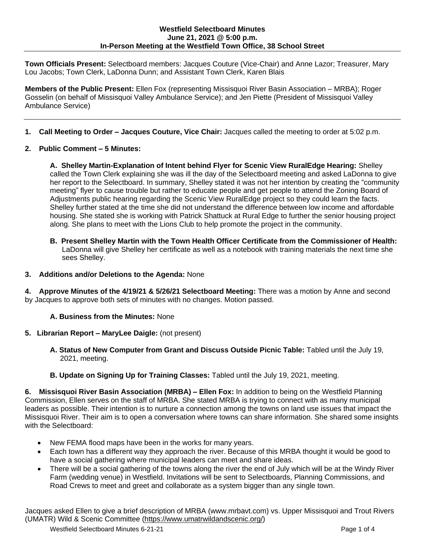## **Westfield Selectboard Minutes June 21, 2021 @ 5:00 p.m. In-Person Meeting at the Westfield Town Office, 38 School Street**

**Town Officials Present:** Selectboard members: Jacques Couture (Vice-Chair) and Anne Lazor; Treasurer, Mary Lou Jacobs; Town Clerk, LaDonna Dunn; and Assistant Town Clerk, Karen Blais

**Members of the Public Present:** Ellen Fox (representing Missisquoi River Basin Association – MRBA); Roger Gosselin (on behalf of Missisquoi Valley Ambulance Service); and Jen Piette (President of Missisquoi Valley Ambulance Service)

- **1. Call Meeting to Order – Jacques Couture, Vice Chair:** Jacques called the meeting to order at 5:02 p.m.
- **2. Public Comment – 5 Minutes:**

**A. Shelley Martin-Explanation of Intent behind Flyer for Scenic View RuralEdge Hearing:** Shelley called the Town Clerk explaining she was ill the day of the Selectboard meeting and asked LaDonna to give her report to the Selectboard. In summary, Shelley stated it was not her intention by creating the "community meeting" flyer to cause trouble but rather to educate people and get people to attend the Zoning Board of Adjustments public hearing regarding the Scenic View RuralEdge project so they could learn the facts. Shelley further stated at the time she did not understand the difference between low income and affordable housing. She stated she is working with Patrick Shattuck at Rural Edge to further the senior housing project along. She plans to meet with the Lions Club to help promote the project in the community.

- **B. Present Shelley Martin with the Town Health Officer Certificate from the Commissioner of Health:** LaDonna will give Shelley her certificate as well as a notebook with training materials the next time she sees Shelley.
- **3. Additions and/or Deletions to the Agenda:** None

**4. Approve Minutes of the 4/19/21 & 5/26/21 Selectboard Meeting:** There was a motion by Anne and second by Jacques to approve both sets of minutes with no changes. Motion passed.

- **A. Business from the Minutes:** None
- **5. Librarian Report – MaryLee Daigle:** (not present)
	- **A. Status of New Computer from Grant and Discuss Outside Picnic Table:** Tabled until the July 19, 2021, meeting.
	- **B. Update on Signing Up for Training Classes:** Tabled until the July 19, 2021, meeting.

**6. Missisquoi River Basin Association (MRBA) – Ellen Fox:** In addition to being on the Westfield Planning Commission, Ellen serves on the staff of MRBA. She stated MRBA is trying to connect with as many municipal leaders as possible. Their intention is to nurture a connection among the towns on land use issues that impact the Missisquoi River. Their aim is to open a conversation where towns can share information. She shared some insights with the Selectboard:

- New FEMA flood maps have been in the works for many years.
- Each town has a different way they approach the river. Because of this MRBA thought it would be good to have a social gathering where municipal leaders can meet and share ideas.
- There will be a social gathering of the towns along the river the end of July which will be at the Windy River Farm (wedding venue) in Westfield. Invitations will be sent to Selectboards, Planning Commissions, and Road Crews to meet and greet and collaborate as a system bigger than any single town.

Jacques asked Ellen to give a brief description of MRBA (www.mrbavt.com) vs. Upper Missisquoi and Trout Rivers (UMATR) Wild & Scenic Committee [\(https://www.umatrwildandscenic.org/\)](https://www.umatrwildandscenic.org/)

Westfield Selectboard Minutes 6-21-21 **Page 1 of 4** Page 1 of 4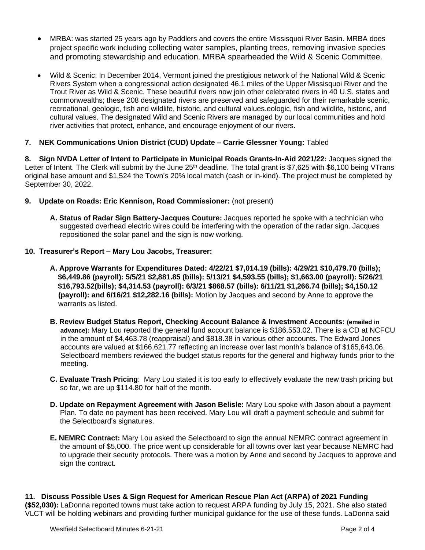- MRBA: was started 25 years ago by Paddlers and covers the entire Missisquoi River Basin. MRBA does project specific work including collecting water samples, planting trees, removing invasive species and promoting stewardship and education. MRBA spearheaded the Wild & Scenic Committee.
- Wild & Scenic: In December 2014, Vermont joined the prestigious network of the National Wild & Scenic Rivers System when a congressional action designated 46.1 miles of the Upper Missisquoi River and the Trout River as Wild & Scenic. These beautiful rivers now join other celebrated rivers in 40 U.S. states and commonwealths; these 208 designated rivers are preserved and safeguarded for their remarkable scenic, recreational, geologic, fish and wildlife, historic, and cultural values.eologic, fish and wildlife, historic, and cultural values. The designated Wild and Scenic Rivers are managed by our local communities and hold river activities that protect, enhance, and encourage enjoyment of our rivers.
- **7. NEK Communications Union District (CUD) Update – Carrie Glessner Young:** Tabled

**8. Sign NVDA Letter of Intent to Participate in Municipal Roads Grants-In-Aid 2021/22:** Jacques signed the Letter of Intent. The Clerk will submit by the June 25<sup>th</sup> deadline. The total grant is \$7,625 with \$6,100 being VTrans original base amount and \$1,524 the Town's 20% local match (cash or in-kind). The project must be completed by September 30, 2022.

- **9. Update on Roads: Eric Kennison, Road Commissioner:** (not present)
	- **A. Status of Radar Sign Battery-Jacques Couture:** Jacques reported he spoke with a technician who suggested overhead electric wires could be interfering with the operation of the radar sign. Jacques repositioned the solar panel and the sign is now working.
- **10. Treasurer's Report – Mary Lou Jacobs, Treasurer:**
	- **A. Approve Warrants for Expenditures Dated: 4/22/21 \$7,014.19 (bills): 4/29/21 \$10,479.70 (bills); \$6,449.86 (payroll): 5/5/21 \$2,881.85 (bills): 5/13/21 \$4,593.55 (bills); \$1,663.00 (payroll): 5/26/21 \$16,793.52(bills); \$4,314.53 (payroll): 6/3/21 \$868.57 (bills): 6/11/21 \$1,266.74 (bills); \$4,150.12 (payroll): and 6/16/21 \$12,282.16 (bills):** Motion by Jacques and second by Anne to approve the warrants as listed.
	- **B. Review Budget Status Report, Checking Account Balance & Investment Accounts: (emailed in advance):** Mary Lou reported the general fund account balance is \$186,553.02. There is a CD at NCFCU in the amount of \$4,463.78 (reappraisal) and \$818.38 in various other accounts. The Edward Jones accounts are valued at \$166,621.77 reflecting an increase over last month's balance of \$165,643.06. Selectboard members reviewed the budget status reports for the general and highway funds prior to the meeting.
	- **C. Evaluate Trash Pricing**: Mary Lou stated it is too early to effectively evaluate the new trash pricing but so far, we are up \$114.80 for half of the month.
	- **D. Update on Repayment Agreement with Jason Belisle:** Mary Lou spoke with Jason about a payment Plan. To date no payment has been received. Mary Lou will draft a payment schedule and submit for the Selectboard's signatures.
	- **E. NEMRC Contract:** Mary Lou asked the Selectboard to sign the annual NEMRC contract agreement in the amount of \$5,000. The price went up considerable for all towns over last year because NEMRC had to upgrade their security protocols. There was a motion by Anne and second by Jacques to approve and sign the contract.

**11. Discuss Possible Uses & Sign Request for American Rescue Plan Act (ARPA) of 2021 Funding (\$52,030):** LaDonna reported towns must take action to request ARPA funding by July 15, 2021. She also stated VLCT will be holding webinars and providing further municipal guidance for the use of these funds. LaDonna said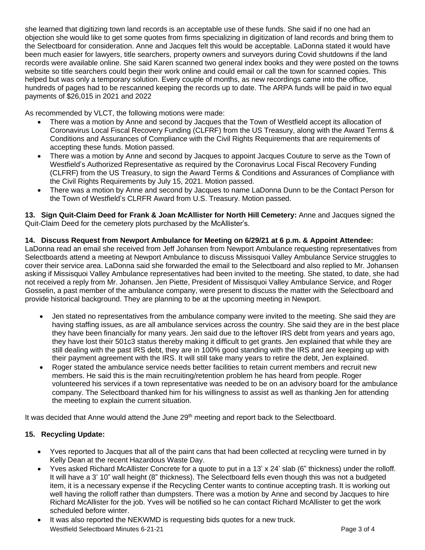she learned that digitizing town land records is an acceptable use of these funds. She said if no one had an objection she would like to get some quotes from firms specializing in digitization of land records and bring them to the Selectboard for consideration. Anne and Jacques felt this would be acceptable. LaDonna stated it would have been much easier for lawyers, title searchers, property owners and surveyors during Covid shutdowns if the land records were available online. She said Karen scanned two general index books and they were posted on the towns website so title searchers could begin their work online and could email or call the town for scanned copies. This helped but was only a temporary solution. Every couple of months, as new recordings came into the office, hundreds of pages had to be rescanned keeping the records up to date. The ARPA funds will be paid in two equal payments of \$26,015 in 2021 and 2022

As recommended by VLCT, the following motions were made:

- There was a motion by Anne and second by Jacques that the Town of Westfield accept its allocation of Coronavirus Local Fiscal Recovery Funding (CLFRF) from the US Treasury, along with the Award Terms & Conditions and Assurances of Compliance with the Civil Rights Requirements that are requirements of accepting these funds. Motion passed.
- There was a motion by Anne and second by Jacques to appoint Jacques Couture to serve as the Town of Westfield's Authorized Representative as required by the Coronavirus Local Fiscal Recovery Funding (CLFRF) from the US Treasury, to sign the Award Terms & Conditions and Assurances of Compliance with the Civil Rights Requirements by July 15, 2021. Motion passed.
- There was a motion by Anne and second by Jacques to name LaDonna Dunn to be the Contact Person for the Town of Westfield's CLRFR Award from U.S. Treasury. Motion passed.

**13. Sign Quit-Claim Deed for Frank & Joan McAllister for North Hill Cemetery:** Anne and Jacques signed the Quit-Claim Deed for the cemetery plots purchased by the McAllister's.

## **14. Discuss Request from Newport Ambulance for Meeting on 6/29/21 at 6 p.m. & Appoint Attendee:**

LaDonna read an email she received from Jeff Johansen from Newport Ambulance requesting representatives from Selectboards attend a meeting at Newport Ambulance to discuss Missisquoi Valley Ambulance Service struggles to cover their service area. LaDonna said she forwarded the email to the Selectboard and also replied to Mr. Johansen asking if Missisquoi Valley Ambulance representatives had been invited to the meeting. She stated, to date, she had not received a reply from Mr. Johansen. Jen Piette, President of Missisquoi Valley Ambulance Service, and Roger Gosselin, a past member of the ambulance company, were present to discuss the matter with the Selectboard and provide historical background. They are planning to be at the upcoming meeting in Newport.

- Jen stated no representatives from the ambulance company were invited to the meeting. She said they are having staffing issues, as are all ambulance services across the country. She said they are in the best place they have been financially for many years. Jen said due to the leftover IRS debt from years and years ago, they have lost their 501c3 status thereby making it difficult to get grants. Jen explained that while they are still dealing with the past IRS debt, they are in 100% good standing with the IRS and are keeping up with their payment agreement with the IRS. It will still take many years to retire the debt, Jen explained.
- Roger stated the ambulance service needs better facilities to retain current members and recruit new members. He said this is the main recruiting/retention problem he has heard from people. Roger volunteered his services if a town representative was needed to be on an advisory board for the ambulance company. The Selectboard thanked him for his willingness to assist as well as thanking Jen for attending the meeting to explain the current situation.

It was decided that Anne would attend the June 29<sup>th</sup> meeting and report back to the Selectboard.

## **15. Recycling Update:**

- Yves reported to Jacques that all of the paint cans that had been collected at recycling were turned in by Kelly Dean at the recent Hazardous Waste Day.
- Yves asked Richard McAllister Concrete for a quote to put in a 13' x 24' slab (6" thickness) under the rolloff. It will have a 3' 10" wall height (8" thickness). The Selectboard fells even though this was not a budgeted item, it is a necessary expense if the Recycling Center wants to continue accepting trash. It is working out well having the rolloff rather than dumpsters. There was a motion by Anne and second by Jacques to hire Richard McAllister for the job. Yves will be notified so he can contact Richard McAllister to get the work scheduled before winter.
- Westfield Selectboard Minutes 6-21-21 **Page 3 of 4** Page 3 of 4 It was also reported the NEKWMD is requesting bids quotes for a new truck.